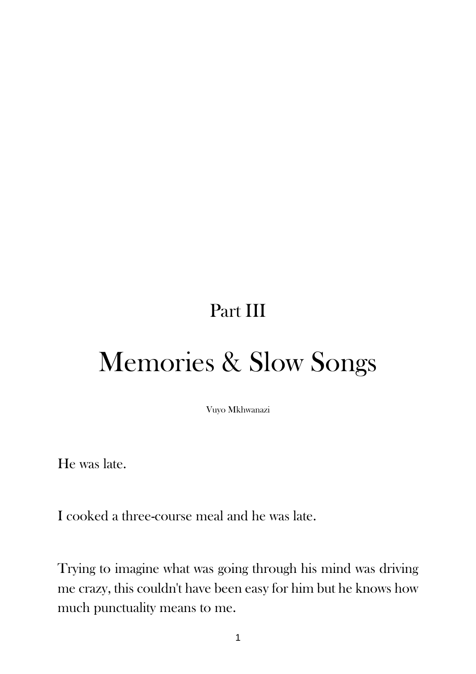## Part III

## Memories & Slow Songs

Vuyo Mkhwanazi

He was late.

I cooked a three-course meal and he was late.

Trying to imagine what was going through his mind was driving me crazy, this couldn't have been easy for him but he knows how much punctuality means to me.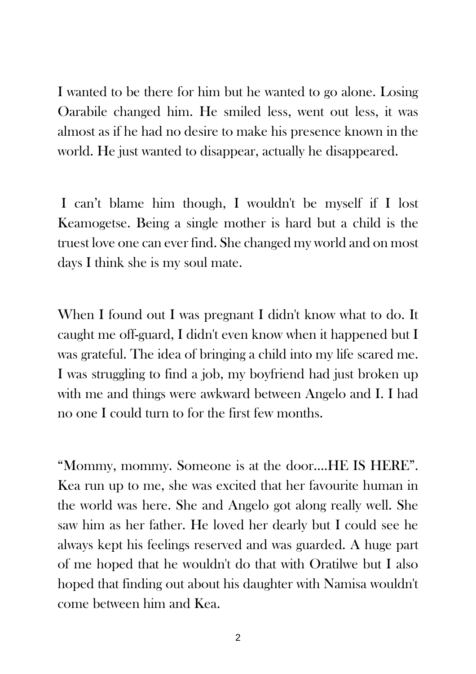I wanted to be there for him but he wanted to go alone. Losing Oarabile changed him. He smiled less, went out less, it was almost as if he had no desire to make his presence known in the world. He just wanted to disappear, actually he disappeared.

I can't blame him though, I wouldn't be myself if I lost Keamogetse. Being a single mother is hard but a child is the truest love one can ever find. She changed my world and on most days I think she is my soul mate.

When I found out I was pregnant I didn't know what to do. It caught me off-guard, I didn't even know when it happened but I was grateful. The idea of bringing a child into my life scared me. I was struggling to find a job, my boyfriend had just broken up with me and things were awkward between Angelo and I. I had no one I could turn to for the first few months.

"Mommy, mommy. Someone is at the door….HE IS HERE". Kea run up to me, she was excited that her favourite human in the world was here. She and Angelo got along really well. She saw him as her father. He loved her dearly but I could see he always kept his feelings reserved and was guarded. A huge part of me hoped that he wouldn't do that with Oratilwe but I also hoped that finding out about his daughter with Namisa wouldn't come between him and Kea.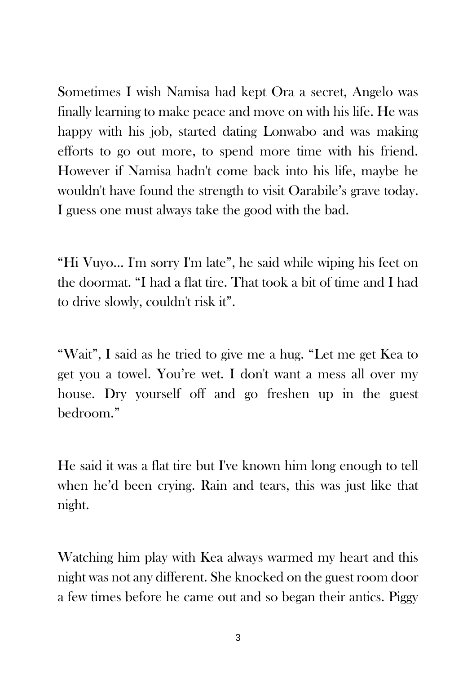Sometimes I wish Namisa had kept Ora a secret, Angelo was finally learning to make peace and move on with his life. He was happy with his job, started dating Lonwabo and was making efforts to go out more, to spend more time with his friend. However if Namisa hadn't come back into his life, maybe he wouldn't have found the strength to visit Oarabile's grave today. I guess one must always take the good with the bad.

"Hi Vuyo… I'm sorry I'm late", he said while wiping his feet on the doormat. "I had a flat tire. That took a bit of time and I had to drive slowly, couldn't risk it".

"Wait", I said as he tried to give me a hug. "Let me get Kea to get you a towel. You're wet. I don't want a mess all over my house. Dry yourself off and go freshen up in the guest bedroom."

He said it was a flat tire but I've known him long enough to tell when he'd been crying. Rain and tears, this was just like that night.

Watching him play with Kea always warmed my heart and this night was not any different. She knocked on the guest room door a few times before he came out and so began their antics. Piggy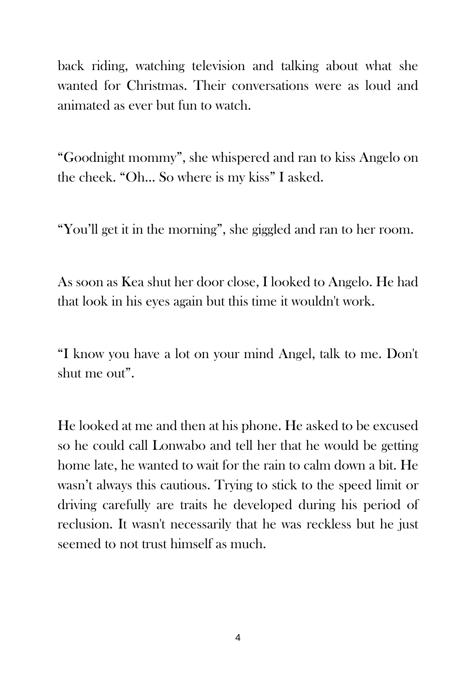back riding, watching television and talking about what she wanted for Christmas. Their conversations were as loud and animated as ever but fun to watch.

"Goodnight mommy", she whispered and ran to kiss Angelo on the cheek. "Oh… So where is my kiss" I asked.

"You'll get it in the morning", she giggled and ran to her room.

As soon as Kea shut her door close, I looked to Angelo. He had that look in his eyes again but this time it wouldn't work.

"I know you have a lot on your mind Angel, talk to me. Don't shut me out".

He looked at me and then at his phone. He asked to be excused so he could call Lonwabo and tell her that he would be getting home late, he wanted to wait for the rain to calm down a bit. He wasn't always this cautious. Trying to stick to the speed limit or driving carefully are traits he developed during his period of reclusion. It wasn't necessarily that he was reckless but he just seemed to not trust himself as much.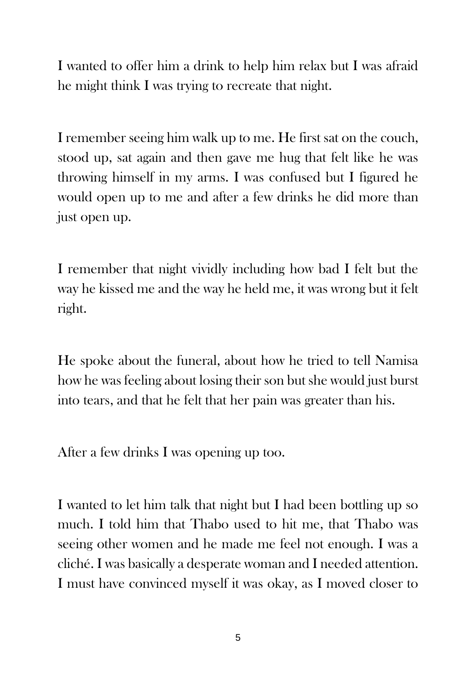I wanted to offer him a drink to help him relax but I was afraid he might think I was trying to recreate that night.

I remember seeing him walk up to me. He first sat on the couch, stood up, sat again and then gave me hug that felt like he was throwing himself in my arms. I was confused but I figured he would open up to me and after a few drinks he did more than just open up.

I remember that night vividly including how bad I felt but the way he kissed me and the way he held me, it was wrong but it felt right.

He spoke about the funeral, about how he tried to tell Namisa how he was feeling about losing their son but she would just burst into tears, and that he felt that her pain was greater than his.

After a few drinks I was opening up too.

I wanted to let him talk that night but I had been bottling up so much. I told him that Thabo used to hit me, that Thabo was seeing other women and he made me feel not enough. I was a cliché. I was basically a desperate woman and I needed attention. I must have convinced myself it was okay, as I moved closer to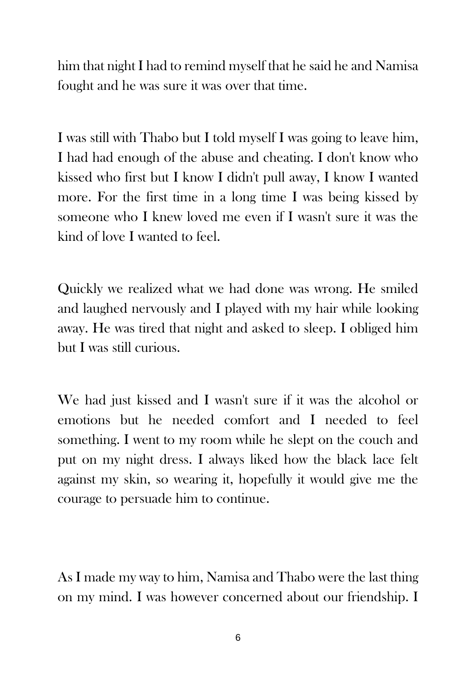him that night I had to remind myself that he said he and Namisa fought and he was sure it was over that time.

I was still with Thabo but I told myself I was going to leave him, I had had enough of the abuse and cheating. I don't know who kissed who first but I know I didn't pull away, I know I wanted more. For the first time in a long time I was being kissed by someone who I knew loved me even if I wasn't sure it was the kind of love I wanted to feel.

Quickly we realized what we had done was wrong. He smiled and laughed nervously and I played with my hair while looking away. He was tired that night and asked to sleep. I obliged him but I was still curious.

We had just kissed and I wasn't sure if it was the alcohol or emotions but he needed comfort and I needed to feel something. I went to my room while he slept on the couch and put on my night dress. I always liked how the black lace felt against my skin, so wearing it, hopefully it would give me the courage to persuade him to continue.

As I made my way to him, Namisa and Thabo were the last thing on my mind. I was however concerned about our friendship. I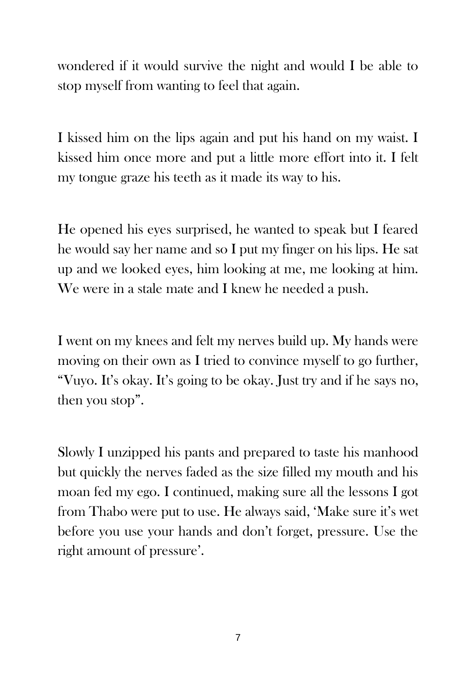wondered if it would survive the night and would I be able to stop myself from wanting to feel that again.

I kissed him on the lips again and put his hand on my waist. I kissed him once more and put a little more effort into it. I felt my tongue graze his teeth as it made its way to his.

He opened his eyes surprised, he wanted to speak but I feared he would say her name and so I put my finger on his lips. He sat up and we looked eyes, him looking at me, me looking at him. We were in a stale mate and I knew he needed a push.

I went on my knees and felt my nerves build up. My hands were moving on their own as I tried to convince myself to go further, "Vuyo. It's okay. It's going to be okay. Just try and if he says no, then you stop".

Slowly I unzipped his pants and prepared to taste his manhood but quickly the nerves faded as the size filled my mouth and his moan fed my ego. I continued, making sure all the lessons I got from Thabo were put to use. He always said, 'Make sure it's wet before you use your hands and don't forget, pressure. Use the right amount of pressure'.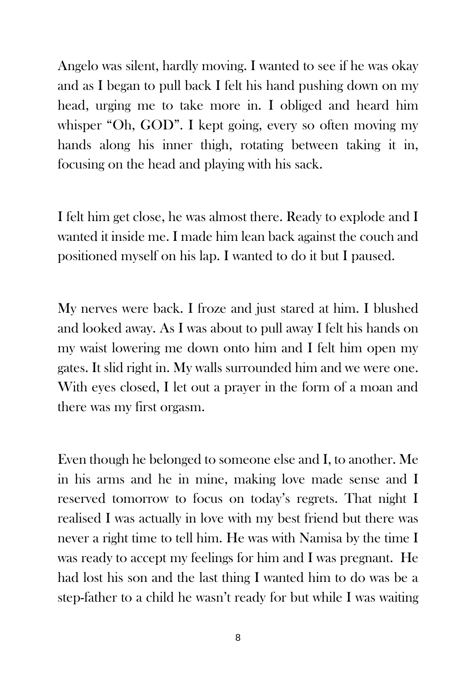Angelo was silent, hardly moving. I wanted to see if he was okay and as I began to pull back I felt his hand pushing down on my head, urging me to take more in. I obliged and heard him whisper "Oh, GOD". I kept going, every so often moving my hands along his inner thigh, rotating between taking it in, focusing on the head and playing with his sack.

I felt him get close, he was almost there. Ready to explode and I wanted it inside me. I made him lean back against the couch and positioned myself on his lap. I wanted to do it but I paused.

My nerves were back. I froze and just stared at him. I blushed and looked away. As I was about to pull away I felt his hands on my waist lowering me down onto him and I felt him open my gates. It slid right in. My walls surrounded him and we were one. With eyes closed, I let out a prayer in the form of a moan and there was my first orgasm.

Even though he belonged to someone else and I, to another. Me in his arms and he in mine, making love made sense and I reserved tomorrow to focus on today's regrets. That night I realised I was actually in love with my best friend but there was never a right time to tell him. He was with Namisa by the time I was ready to accept my feelings for him and I was pregnant. He had lost his son and the last thing I wanted him to do was be a step-father to a child he wasn't ready for but while I was waiting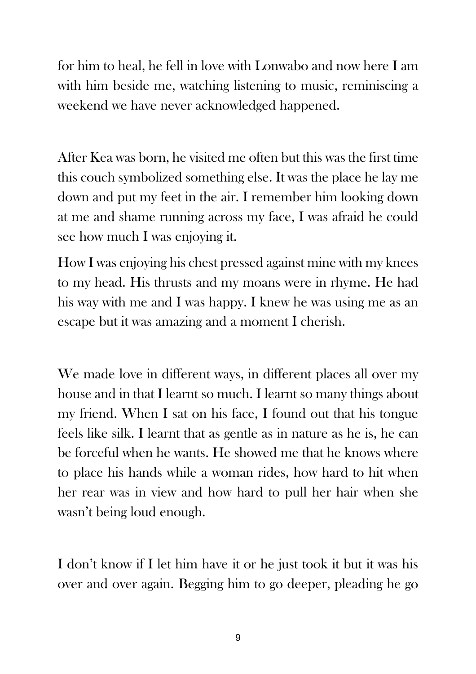for him to heal, he fell in love with Lonwabo and now here I am with him beside me, watching listening to music, reminiscing a weekend we have never acknowledged happened.

After Kea was born, he visited me often but this was the first time this couch symbolized something else. It was the place he lay me down and put my feet in the air. I remember him looking down at me and shame running across my face, I was afraid he could see how much I was enjoying it.

How I was enjoying his chest pressed against mine with my knees to my head. His thrusts and my moans were in rhyme. He had his way with me and I was happy. I knew he was using me as an escape but it was amazing and a moment I cherish.

We made love in different ways, in different places all over my house and in that I learnt so much. I learnt so many things about my friend. When I sat on his face, I found out that his tongue feels like silk. I learnt that as gentle as in nature as he is, he can be forceful when he wants. He showed me that he knows where to place his hands while a woman rides, how hard to hit when her rear was in view and how hard to pull her hair when she wasn't being loud enough.

I don't know if I let him have it or he just took it but it was his over and over again. Begging him to go deeper, pleading he go